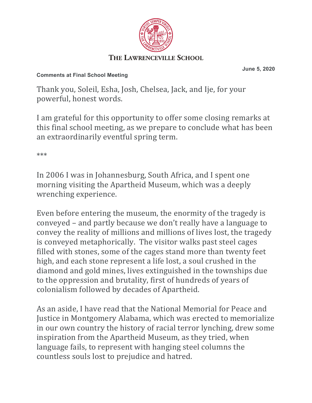

## **Comments at Final School Meeting**

**June 5, 2020**

Thank you, Soleil, Esha, Josh, Chelsea, Jack, and Ije, for your powerful, honest words.

I am grateful for this opportunity to offer some closing remarks at this final school meeting, as we prepare to conclude what has been an extraordinarily eventful spring term.

\*\*\*

In 2006 I was in Johannesburg, South Africa, and I spent one morning visiting the Apartheid Museum, which was a deeply wrenching experience.

Even before entering the museum, the enormity of the tragedy is conveyed – and partly because we don't really have a language to convey the reality of millions and millions of lives lost, the tragedy is conveyed metaphorically. The visitor walks past steel cages filled with stones, some of the cages stand more than twenty feet high, and each stone represent a life lost, a soul crushed in the diamond and gold mines, lives extinguished in the townships due to the oppression and brutality, first of hundreds of years of colonialism followed by decades of Apartheid.

As an aside, I have read that the National Memorial for Peace and Justice in Montgomery Alabama, which was erected to memorialize in our own country the history of racial terror lynching, drew some inspiration from the Apartheid Museum, as they tried, when language fails, to represent with hanging steel columns the countless souls lost to prejudice and hatred.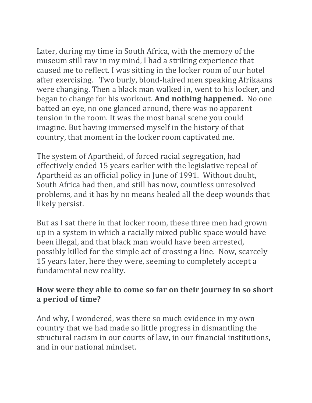Later, during my time in South Africa, with the memory of the museum still raw in my mind, I had a striking experience that caused me to reflect. I was sitting in the locker room of our hotel after exercising. Two burly, blond-haired men speaking Afrikaans were changing. Then a black man walked in, went to his locker, and began to change for his workout. And nothing happened. No one batted an eye, no one glanced around, there was no apparent tension in the room. It was the most banal scene you could imagine. But having immersed myself in the history of that country, that moment in the locker room captivated me.

The system of Apartheid, of forced racial segregation, had effectively ended 15 years earlier with the legislative repeal of Apartheid as an official policy in June of 1991. Without doubt, South Africa had then, and still has now, countless unresolved problems, and it has by no means healed all the deep wounds that likely persist. 

But as I sat there in that locker room, these three men had grown up in a system in which a racially mixed public space would have been illegal, and that black man would have been arrested, possibly killed for the simple act of crossing a line. Now, scarcely 15 years later, here they were, seeming to completely accept a fundamental new reality.

## How were they able to come so far on their journey in so short **a period of time?**

And why, I wondered, was there so much evidence in my own country that we had made so little progress in dismantling the structural racism in our courts of law, in our financial institutions, and in our national mindset.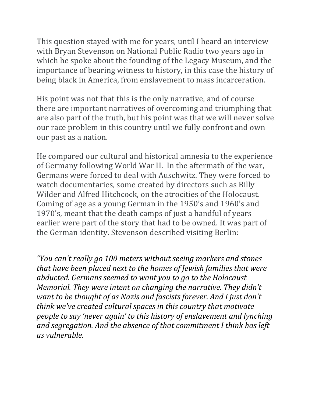This question stayed with me for years, until I heard an interview with Bryan Stevenson on National Public Radio two years ago in which he spoke about the founding of the Legacy Museum, and the importance of bearing witness to history, in this case the history of being black in America, from enslavement to mass incarceration.

His point was not that this is the only narrative, and of course there are important narratives of overcoming and triumphing that are also part of the truth, but his point was that we will never solve our race problem in this country until we fully confront and own our past as a nation.

He compared our cultural and historical amnesia to the experience of Germany following World War II. In the aftermath of the war, Germans were forced to deal with Auschwitz. They were forced to watch documentaries, some created by directors such as Billy Wilder and Alfred Hitchcock, on the atrocities of the Holocaust. Coming of age as a young German in the 1950's and 1960's and 1970's, meant that the death camps of just a handful of years earlier were part of the story that had to be owned. It was part of the German identity. Stevenson described visiting Berlin:

*"You can't really go 100 meters without seeing markers and stones that have been placed next to the homes of Jewish families that were abducted. Germans seemed to want you to go to the Holocaust Memorial. They were intent on changing the narrative. They didn't want to be thought of as Nazis and fascists forever. And I just don't think* we've created cultural spaces in this country that motivate *people to say 'never again' to this history of enslavement and lynching* and segregation. And the absence of that commitment I think has left *us vulnerable.*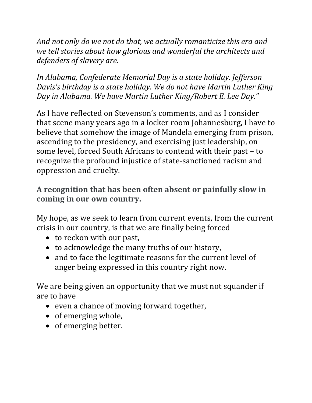And not only do we not do that, we actually romanticize this era and we tell stories about how glorious and wonderful the architects and defenders of slavery are.

In Alabama, Confederate Memorial Day is a state holiday. Jefferson *Davis's birthday is a state holiday. We do not have Martin Luther King Day* in Alabama. We have Martin Luther King/Robert E. Lee Day."

As I have reflected on Stevenson's comments, and as I consider that scene many years ago in a locker room Johannesburg, I have to believe that somehow the image of Mandela emerging from prison, ascending to the presidency, and exercising just leadership, on some level, forced South Africans to contend with their past - to recognize the profound injustice of state-sanctioned racism and oppression and cruelty.

## A recognition that has been often absent or painfully slow in coming in our own country.

My hope, as we seek to learn from current events, from the current crisis in our country, is that we are finally being forced

- to reckon with our past,
- to acknowledge the many truths of our history,
- and to face the legitimate reasons for the current level of anger being expressed in this country right now.

We are being given an opportunity that we must not squander if are to have

- even a chance of moving forward together,
- of emerging whole,
- of emerging better.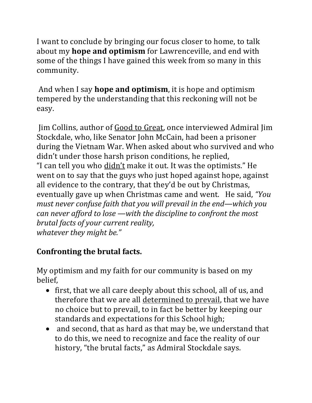I want to conclude by bringing our focus closer to home, to talk about my **hope and optimism** for Lawrenceville, and end with some of the things I have gained this week from so many in this community. 

And when I say **hope and optimism**, it is hope and optimism tempered by the understanding that this reckoning will not be easy. 

Jim Collins, author of Good to Great, once interviewed Admiral Jim Stockdale, who, like Senator John McCain, had been a prisoner during the Vietnam War. When asked about who survived and who didn't under those harsh prison conditions, he replied, "I can tell you who didn't make it out. It was the optimists." He went on to say that the guys who just hoped against hope, against all evidence to the contrary, that they'd be out by Christmas, eventually gave up when Christmas came and went. He said, "*You must never confuse faith that you will prevail in the end—which you* can never afford to lose —with the discipline to confront the most *brutal facts of your current reality, whatever they might be."* 

## **Confronting the brutal facts.**

My optimism and my faith for our community is based on my belief,

- first, that we all care deeply about this school, all of us, and therefore that we are all determined to prevail, that we have no choice but to prevail, to in fact be better by keeping our standards and expectations for this School high;
- and second, that as hard as that may be, we understand that to do this, we need to recognize and face the reality of our history, "the brutal facts," as Admiral Stockdale says.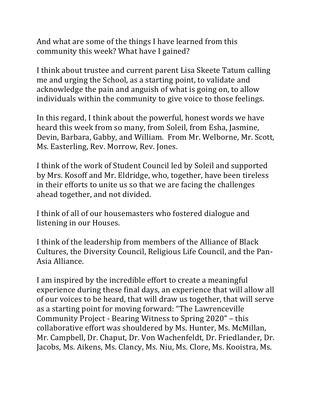And what are some of the things I have learned from this community this week? What have I gained?

I think about trustee and current parent Lisa Skeete Tatum calling me and urging the School, as a starting point, to validate and acknowledge the pain and anguish of what is going on, to allow individuals within the community to give voice to those feelings.

In this regard, I think about the powerful, honest words we have heard this week from so many, from Soleil, from Esha, Jasmine, Devin, Barbara, Gabby, and William. From Mr. Welborne, Mr. Scott, Ms. Easterling, Rev. Morrow, Rev. Jones.

I think of the work of Student Council led by Soleil and supported by Mrs. Kosoff and Mr. Eldridge, who, together, have been tireless in their efforts to unite us so that we are facing the challenges ahead together, and not divided.

I think of all of our housemasters who fostered dialogue and listening in our Houses.

I think of the leadership from members of the Alliance of Black Cultures, the Diversity Council, Religious Life Council, and the Pan-Asia Alliance. 

I am inspired by the incredible effort to create a meaningful experience during these final days, an experience that will allow all of our voices to be heard, that will draw us together, that will serve as a starting point for moving forward: "The Lawrenceville Community Project - Bearing Witness to Spring 2020" – this collaborative effort was shouldered by Ms. Hunter, Ms. McMillan, Mr. Campbell, Dr. Chaput, Dr. Von Wachenfeldt, Dr. Friedlander, Dr. Jacobs, Ms. Aikens, Ms. Clancy, Ms. Niu, Ms. Clore, Ms. Kooistra, Ms.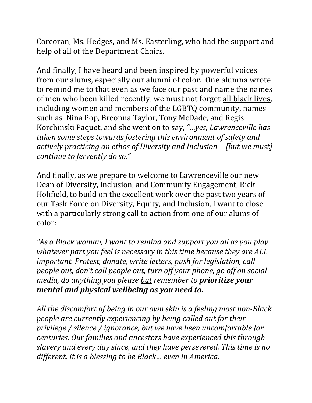Corcoran, Ms. Hedges, and Ms. Easterling, who had the support and help of all of the Department Chairs.

And finally, I have heard and been inspired by powerful voices from our alums, especially our alumni of color. One alumna wrote to remind me to that even as we face our past and name the names of men who been killed recently, we must not forget all black lives, including women and members of the LGBTQ community, names such as Nina Pop, Breonna Taylor, Tony McDade, and Regis Korchinski Paquet, and she went on to say, "...yes, Lawrenceville has *taken some steps towards fostering this environment of safety and actively practicing an ethos of Diversity and Inclusion—[but we must] continue to fervently do so."* 

And finally, as we prepare to welcome to Lawrenceville our new Dean of Diversity, Inclusion, and Community Engagement, Rick Holifield, to build on the excellent work over the past two years of our Task Force on Diversity, Equity, and Inclusion, I want to close with a particularly strong call to action from one of our alums of color:

*"As a Black woman, I want to remind and support you all as you play* whatever part you feel is necessary in this time because they are ALL *important. Protest, donate, write letters, push for legislation, call people out, don't call people out, turn off your phone, go off on social media, do anything you please but remember to prioritize your mental and physical wellbeing as you need to.* 

All the discomfort of being in our own skin is a feeling most non-Black *people are currently experiencing by being called out for their privilege* / silence / ignorance, but we have been uncomfortable for *centuries. Our families and ancestors have experienced this through slavery* and every day since, and they have persevered. This time is no *different. It is a blessing to be Black... even in America.*